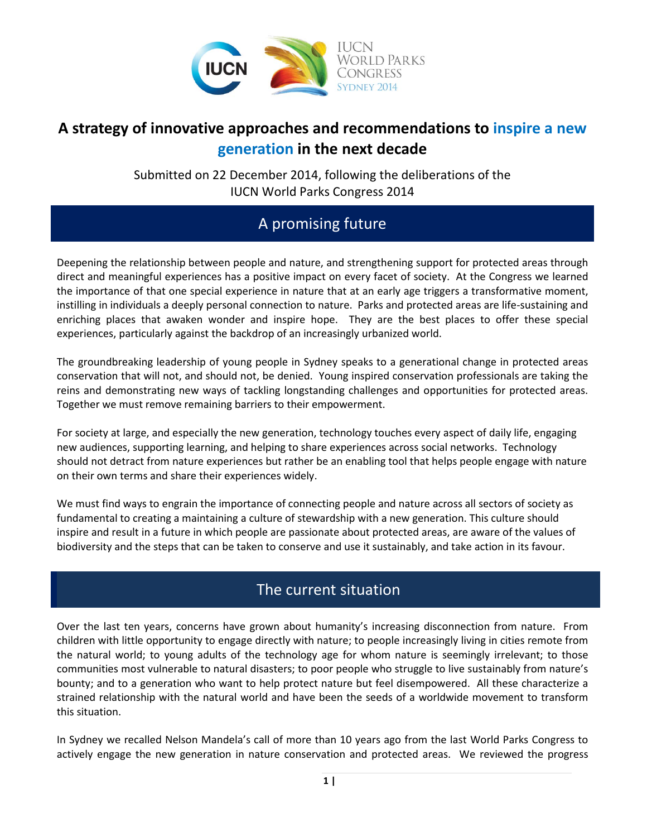

## **A strategy of innovative approaches and recommendations to inspire a new generation in the next decade**

Submitted on 22 December 2014, following the deliberations of the IUCN World Parks Congress 2014

# A promising future

Deepening the relationship between people and nature, and strengthening support for protected areas through direct and meaningful experiences has a positive impact on every facet of society. At the Congress we learned the importance of that one special experience in nature that at an early age triggers a transformative moment, instilling in individuals a deeply personal connection to nature. Parks and protected areas are life-sustaining and enriching places that awaken wonder and inspire hope. They are the best places to offer these special experiences, particularly against the backdrop of an increasingly urbanized world.

The groundbreaking leadership of young people in Sydney speaks to a generational change in protected areas conservation that will not, and should not, be denied. Young inspired conservation professionals are taking the reins and demonstrating new ways of tackling longstanding challenges and opportunities for protected areas. Together we must remove remaining barriers to their empowerment.

For society at large, and especially the new generation, technology touches every aspect of daily life, engaging new audiences, supporting learning, and helping to share experiences across social networks. Technology should not detract from nature experiences but rather be an enabling tool that helps people engage with nature on their own terms and share their experiences widely.

We must find ways to engrain the importance of connecting people and nature across all sectors of society as fundamental to creating a maintaining a culture of stewardship with a new generation. This culture should inspire and result in a future in which people are passionate about protected areas, are aware of the values of biodiversity and the steps that can be taken to conserve and use it sustainably, and take action in its favour.

## The current situation

Over the last ten years, concerns have grown about humanity's increasing disconnection from nature. From children with little opportunity to engage directly with nature; to people increasingly living in cities remote from the natural world; to young adults of the technology age for whom nature is seemingly irrelevant; to those communities most vulnerable to natural disasters; to poor people who struggle to live sustainably from nature's bounty; and to a generation who want to help protect nature but feel disempowered. All these characterize a strained relationship with the natural world and have been the seeds of a worldwide movement to transform this situation.

In Sydney we recalled Nelson Mandela's call of more than 10 years ago from the last World Parks Congress to actively engage the new generation in nature conservation and protected areas. We reviewed the progress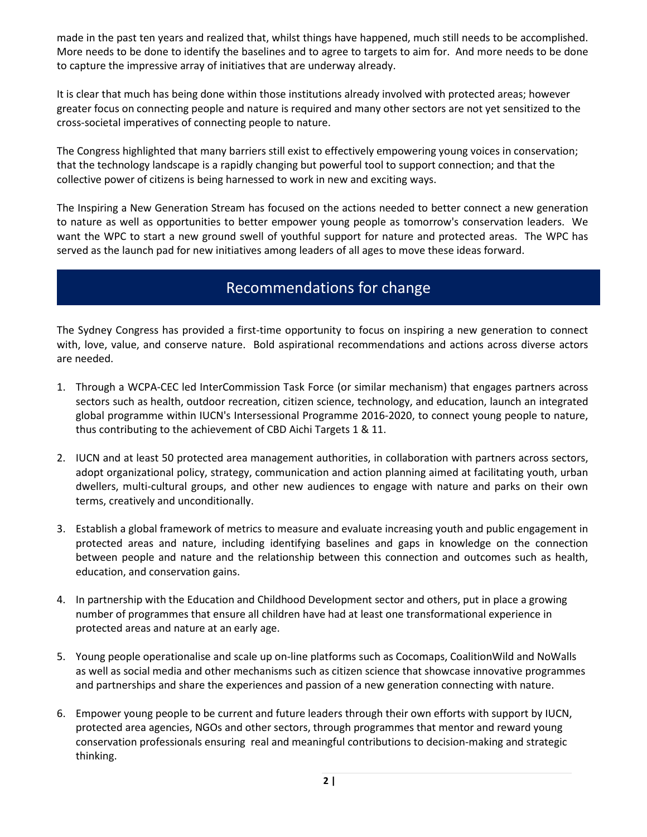made in the past ten years and realized that, whilst things have happened, much still needs to be accomplished. More needs to be done to identify the baselines and to agree to targets to aim for. And more needs to be done to capture the impressive array of initiatives that are underway already.

It is clear that much has being done within those institutions already involved with protected areas; however greater focus on connecting people and nature is required and many other sectors are not yet sensitized to the cross-societal imperatives of connecting people to nature.

The Congress highlighted that many barriers still exist to effectively empowering young voices in conservation; that the technology landscape is a rapidly changing but powerful tool to support connection; and that the collective power of citizens is being harnessed to work in new and exciting ways.

The Inspiring a New Generation Stream has focused on the actions needed to better connect a new generation to nature as well as opportunities to better empower young people as tomorrow's conservation leaders. We want the WPC to start a new ground swell of youthful support for nature and protected areas. The WPC has served as the launch pad for new initiatives among leaders of all ages to move these ideas forward.

#### Recommendations for change

The Sydney Congress has provided a first-time opportunity to focus on inspiring a new generation to connect with, love, value, and conserve nature. Bold aspirational recommendations and actions across diverse actors are needed.

- 1. Through a WCPA-CEC led InterCommission Task Force (or similar mechanism) that engages partners across sectors such as health, outdoor recreation, citizen science, technology, and education, launch an integrated global programme within IUCN's Intersessional Programme 2016-2020, to connect young people to nature, thus contributing to the achievement of CBD Aichi Targets 1 & 11.
- 2. IUCN and at least 50 protected area management authorities, in collaboration with partners across sectors, adopt organizational policy, strategy, communication and action planning aimed at facilitating youth, urban dwellers, multi-cultural groups, and other new audiences to engage with nature and parks on their own terms, creatively and unconditionally.
- 3. Establish a global framework of metrics to measure and evaluate increasing youth and public engagement in protected areas and nature, including identifying baselines and gaps in knowledge on the connection between people and nature and the relationship between this connection and outcomes such as health, education, and conservation gains.
- 4. In partnership with the Education and Childhood Development sector and others, put in place a growing number of programmes that ensure all children have had at least one transformational experience in protected areas and nature at an early age.
- 5. Young people operationalise and scale up on-line platforms such as Cocomaps, CoalitionWild and NoWalls as well as social media and other mechanisms such as citizen science that showcase innovative programmes and partnerships and share the experiences and passion of a new generation connecting with nature.
- 6. Empower young people to be current and future leaders through their own efforts with support by IUCN, protected area agencies, NGOs and other sectors, through programmes that mentor and reward young conservation professionals ensuring real and meaningful contributions to decision-making and strategic thinking.